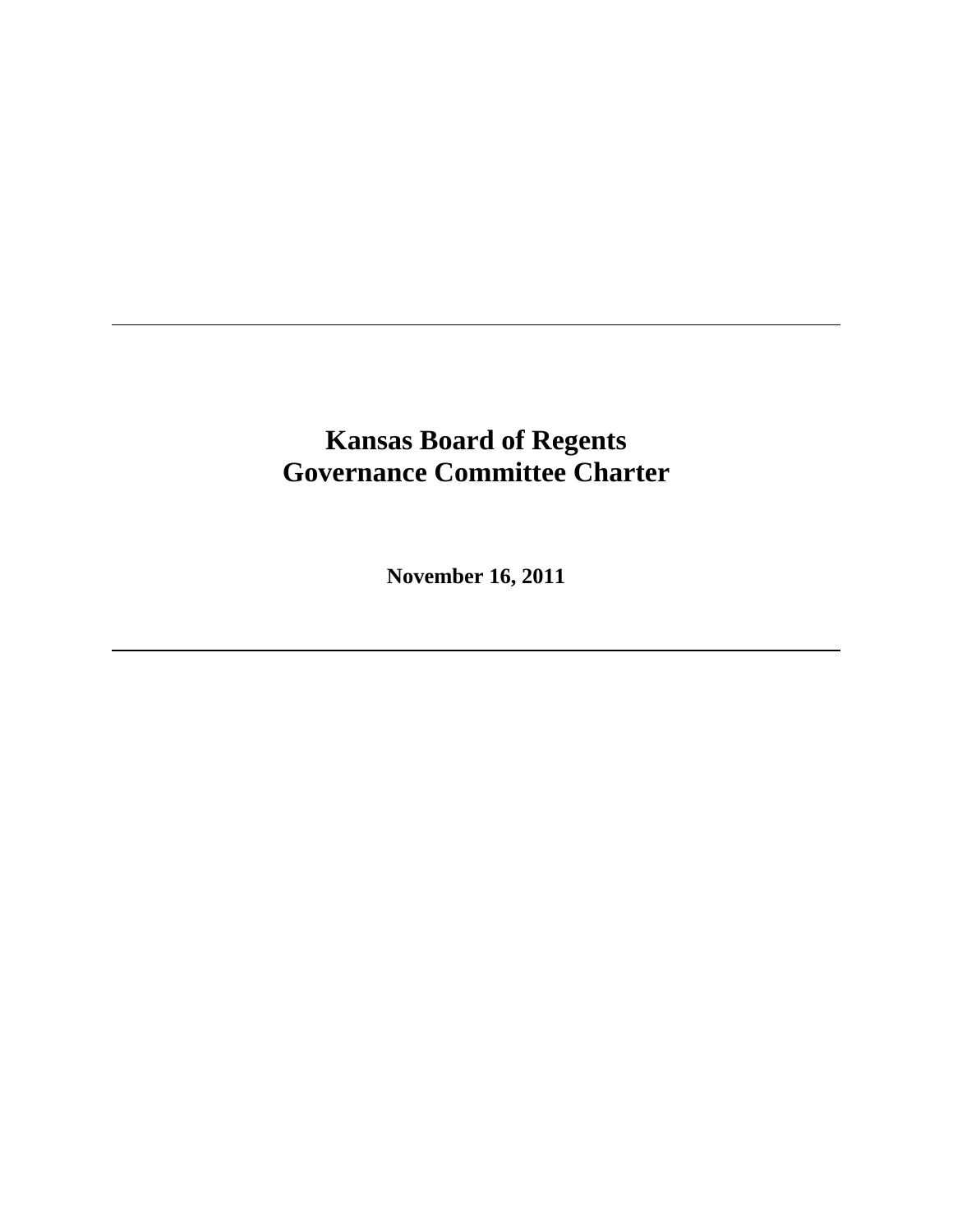# **Kansas Board of Regents Governance Committee Charter**

l

l

**November 16, 2011**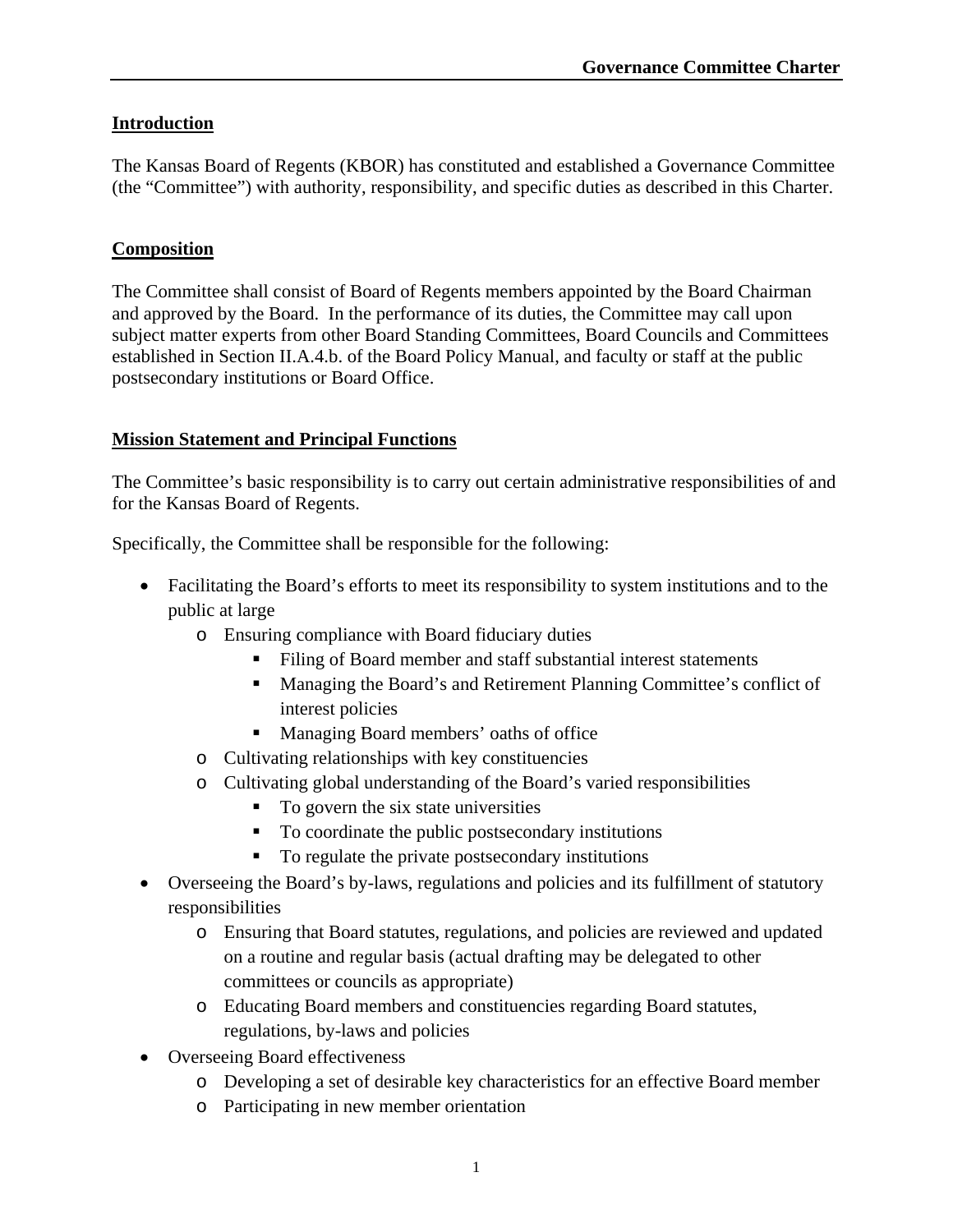## **Introduction**

The Kansas Board of Regents (KBOR) has constituted and established a Governance Committee (the "Committee") with authority, responsibility, and specific duties as described in this Charter.

#### **Composition**

The Committee shall consist of Board of Regents members appointed by the Board Chairman and approved by the Board. In the performance of its duties, the Committee may call upon subject matter experts from other Board Standing Committees, Board Councils and Committees established in Section II.A.4.b. of the Board Policy Manual, and faculty or staff at the public postsecondary institutions or Board Office.

### **Mission Statement and Principal Functions**

The Committee's basic responsibility is to carry out certain administrative responsibilities of and for the Kansas Board of Regents.

Specifically, the Committee shall be responsible for the following:

- Facilitating the Board's efforts to meet its responsibility to system institutions and to the public at large
	- o Ensuring compliance with Board fiduciary duties
		- Filing of Board member and staff substantial interest statements
		- Managing the Board's and Retirement Planning Committee's conflict of interest policies
		- Managing Board members' oaths of office
	- o Cultivating relationships with key constituencies
	- o Cultivating global understanding of the Board's varied responsibilities
		- $\blacksquare$  To govern the six state universities
		- To coordinate the public postsecondary institutions
		- To regulate the private postsecondary institutions
- Overseeing the Board's by-laws, regulations and policies and its fulfillment of statutory responsibilities
	- o Ensuring that Board statutes, regulations, and policies are reviewed and updated on a routine and regular basis (actual drafting may be delegated to other committees or councils as appropriate)
	- o Educating Board members and constituencies regarding Board statutes, regulations, by-laws and policies
- Overseeing Board effectiveness
	- o Developing a set of desirable key characteristics for an effective Board member
	- o Participating in new member orientation